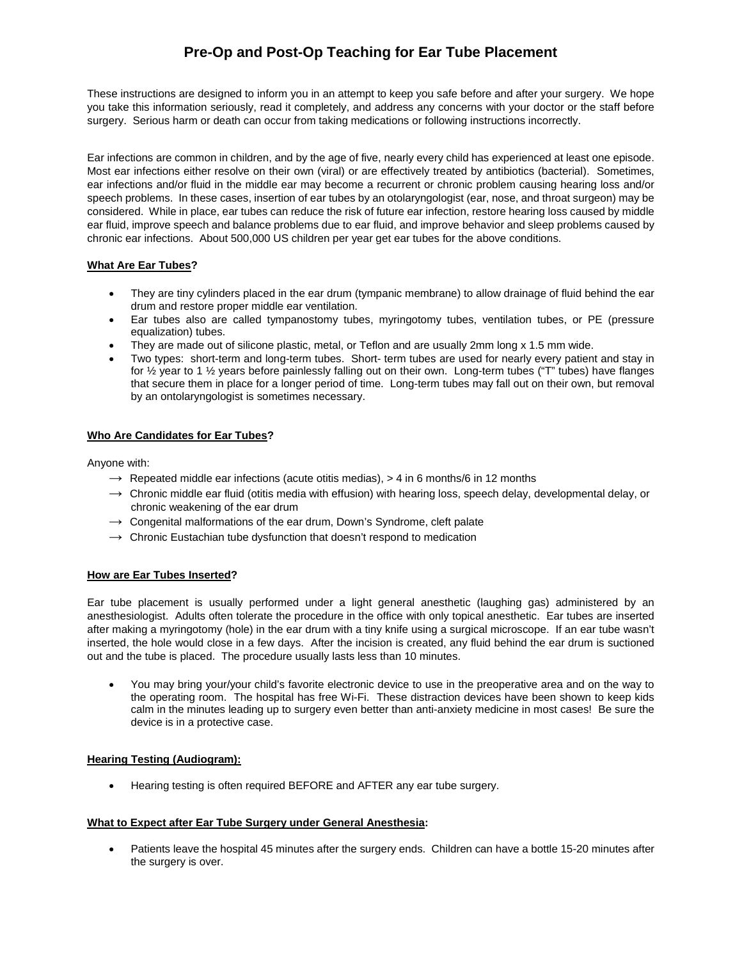# **Pre-Op and Post-Op Teaching for Ear Tube Placement**

These instructions are designed to inform you in an attempt to keep you safe before and after your surgery. We hope you take this information seriously, read it completely, and address any concerns with your doctor or the staff before surgery. Serious harm or death can occur from taking medications or following instructions incorrectly.

Ear infections are common in children, and by the age of five, nearly every child has experienced at least one episode. Most ear infections either resolve on their own (viral) or are effectively treated by antibiotics (bacterial). Sometimes, ear infections and/or fluid in the middle ear may become a recurrent or chronic problem causing hearing loss and/or speech problems. In these cases, insertion of ear tubes by an otolaryngologist (ear, nose, and throat surgeon) may be considered. While in place, ear tubes can reduce the risk of future ear infection, restore hearing loss caused by middle ear fluid, improve speech and balance problems due to ear fluid, and improve behavior and sleep problems caused by chronic ear infections. About 500,000 US children per year get ear tubes for the above conditions.

### **What Are Ear Tubes?**

- They are tiny cylinders placed in the ear drum (tympanic membrane) to allow drainage of fluid behind the ear drum and restore proper middle ear ventilation.
- Ear tubes also are called tympanostomy tubes, myringotomy tubes, ventilation tubes, or PE (pressure equalization) tubes.
- They are made out of silicone plastic, metal, or Teflon and are usually 2mm long x 1.5 mm wide.
- Two types: short-term and long-term tubes. Short- term tubes are used for nearly every patient and stay in for ½ year to 1 ½ years before painlessly falling out on their own. Long-term tubes ("T" tubes) have flanges that secure them in place for a longer period of time. Long-term tubes may fall out on their own, but removal by an ontolaryngologist is sometimes necessary.

## **Who Are Candidates for Ear Tubes?**

Anyone with:

- $\rightarrow$  Repeated middle ear infections (acute otitis medias),  $>$  4 in 6 months/6 in 12 months
- $\rightarrow$  Chronic middle ear fluid (otitis media with effusion) with hearing loss, speech delay, developmental delay, or chronic weakening of the ear drum
- $\rightarrow$  Congenital malformations of the ear drum, Down's Syndrome, cleft palate
- $\rightarrow$  Chronic Eustachian tube dysfunction that doesn't respond to medication

### **How are Ear Tubes Inserted?**

Ear tube placement is usually performed under a light general anesthetic (laughing gas) administered by an anesthesiologist. Adults often tolerate the procedure in the office with only topical anesthetic. Ear tubes are inserted after making a myringotomy (hole) in the ear drum with a tiny knife using a surgical microscope. If an ear tube wasn't inserted, the hole would close in a few days. After the incision is created, any fluid behind the ear drum is suctioned out and the tube is placed. The procedure usually lasts less than 10 minutes.

• You may bring your/your child's favorite electronic device to use in the preoperative area and on the way to the operating room. The hospital has free Wi-Fi. These distraction devices have been shown to keep kids calm in the minutes leading up to surgery even better than anti-anxiety medicine in most cases! Be sure the device is in a protective case.

### **Hearing Testing (Audiogram):**

• Hearing testing is often required BEFORE and AFTER any ear tube surgery.

#### **What to Expect after Ear Tube Surgery under General Anesthesia:**

• Patients leave the hospital 45 minutes after the surgery ends. Children can have a bottle 15-20 minutes after the surgery is over.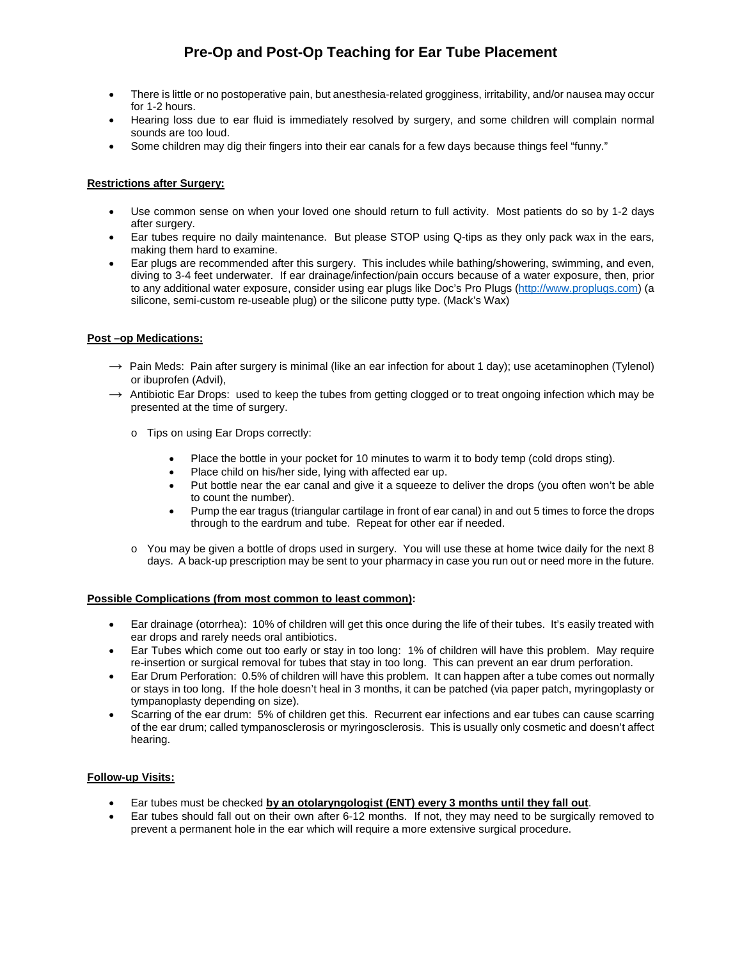# **Pre-Op and Post-Op Teaching for Ear Tube Placement**

- There is little or no postoperative pain, but anesthesia-related grogginess, irritability, and/or nausea may occur for 1-2 hours.
- Hearing loss due to ear fluid is immediately resolved by surgery, and some children will complain normal sounds are too loud.
- Some children may dig their fingers into their ear canals for a few days because things feel "funny."

### **Restrictions after Surgery:**

- Use common sense on when your loved one should return to full activity. Most patients do so by 1-2 days after surgery.
- Ear tubes require no daily maintenance. But please STOP using Q-tips as they only pack wax in the ears, making them hard to examine.
- Ear plugs are recommended after this surgery. This includes while bathing/showering, swimming, and even, diving to 3-4 feet underwater. If ear drainage/infection/pain occurs because of a water exposure, then, prior to any additional water exposure, consider using ear plugs like Doc's Pro Plugs [\(http://www.proplugs.com\)](http://www.proplugs.com/) (a silicone, semi-custom re-useable plug) or the silicone putty type. (Mack's Wax)

### **Post –op Medications:**

- $\rightarrow$  Pain Meds: Pain after surgery is minimal (like an ear infection for about 1 day); use acetaminophen (Tylenol) or ibuprofen (Advil),
- $\rightarrow$  Antibiotic Ear Drops: used to keep the tubes from getting clogged or to treat ongoing infection which may be presented at the time of surgery.
	- o Tips on using Ear Drops correctly:
		- Place the bottle in your pocket for 10 minutes to warm it to body temp (cold drops sting).
		- Place child on his/her side, lying with affected ear up.
		- Put bottle near the ear canal and give it a squeeze to deliver the drops (you often won't be able to count the number).
		- Pump the ear tragus (triangular cartilage in front of ear canal) in and out 5 times to force the drops through to the eardrum and tube. Repeat for other ear if needed.
	- o You may be given a bottle of drops used in surgery. You will use these at home twice daily for the next 8 days. A back-up prescription may be sent to your pharmacy in case you run out or need more in the future.

#### **Possible Complications (from most common to least common):**

- Ear drainage (otorrhea): 10% of children will get this once during the life of their tubes. It's easily treated with ear drops and rarely needs oral antibiotics.
- Ear Tubes which come out too early or stay in too long: 1% of children will have this problem. May require re-insertion or surgical removal for tubes that stay in too long. This can prevent an ear drum perforation.
- Ear Drum Perforation: 0.5% of children will have this problem. It can happen after a tube comes out normally or stays in too long. If the hole doesn't heal in 3 months, it can be patched (via paper patch, myringoplasty or tympanoplasty depending on size).
- Scarring of the ear drum: 5% of children get this. Recurrent ear infections and ear tubes can cause scarring of the ear drum; called tympanosclerosis or myringosclerosis. This is usually only cosmetic and doesn't affect hearing.

### **Follow-up Visits:**

- Ear tubes must be checked **by an otolaryngologist (ENT) every 3 months until they fall out**.
- Ear tubes should fall out on their own after 6-12 months. If not, they may need to be surgically removed to prevent a permanent hole in the ear which will require a more extensive surgical procedure.